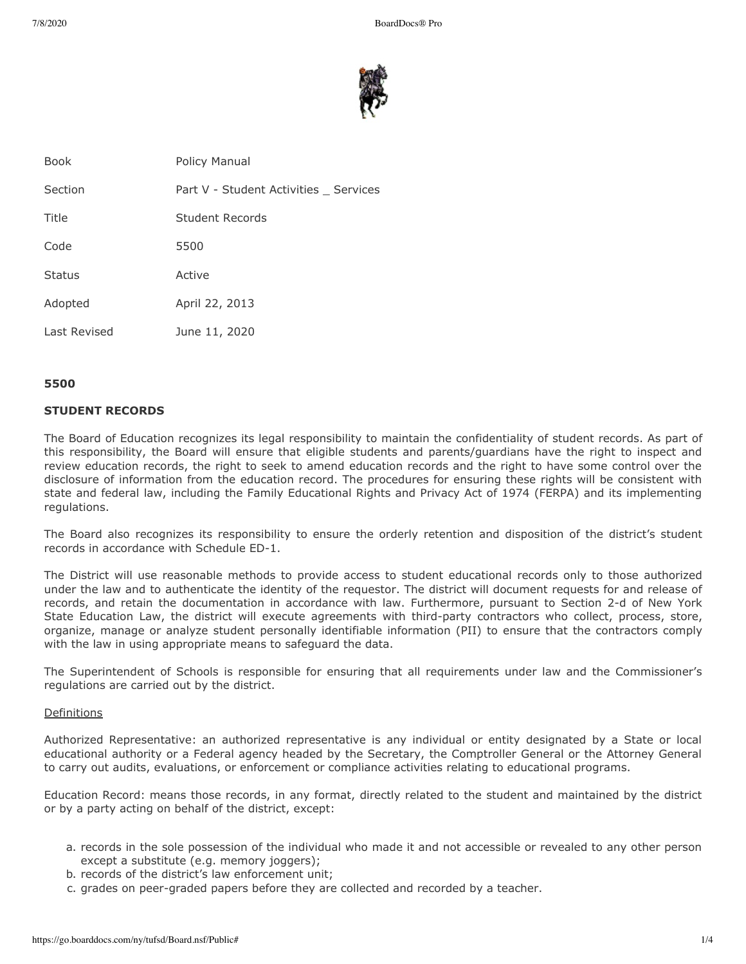

| <b>Book</b>   | Policy Manual                        |
|---------------|--------------------------------------|
| Section       | Part V - Student Activities Services |
| Title         | Student Records                      |
| Code          | 5500                                 |
| <b>Status</b> | Active                               |
| Adopted       | April 22, 2013                       |
| Last Revised  | June 11, 2020                        |
|               |                                      |

### **5500**

### **STUDENT RECORDS**

The Board of Education recognizes its legal responsibility to maintain the confidentiality of student records. As part of this responsibility, the Board will ensure that eligible students and parents/guardians have the right to inspect and review education records, the right to seek to amend education records and the right to have some control over the disclosure of information from the education record. The procedures for ensuring these rights will be consistent with state and federal law, including the Family Educational Rights and Privacy Act of 1974 (FERPA) and its implementing regulations.

The Board also recognizes its responsibility to ensure the orderly retention and disposition of the district's student records in accordance with Schedule ED-1.

The District will use reasonable methods to provide access to student educational records only to those authorized under the law and to authenticate the identity of the requestor. The district will document requests for and release of records, and retain the documentation in accordance with law. Furthermore, pursuant to Section 2-d of New York State Education Law, the district will execute agreements with third-party contractors who collect, process, store, organize, manage or analyze student personally identifiable information (PII) to ensure that the contractors comply with the law in using appropriate means to safeguard the data.

The Superintendent of Schools is responsible for ensuring that all requirements under law and the Commissioner's regulations are carried out by the district.

### Definitions

Authorized Representative: an authorized representative is any individual or entity designated by a State or local educational authority or a Federal agency headed by the Secretary, the Comptroller General or the Attorney General to carry out audits, evaluations, or enforcement or compliance activities relating to educational programs.

Education Record: means those records, in any format, directly related to the student and maintained by the district or by a party acting on behalf of the district, except:

- a. records in the sole possession of the individual who made it and not accessible or revealed to any other person except a substitute (e.g. memory joggers);
- b. records of the district's law enforcement unit;
- c. grades on peer-graded papers before they are collected and recorded by a teacher.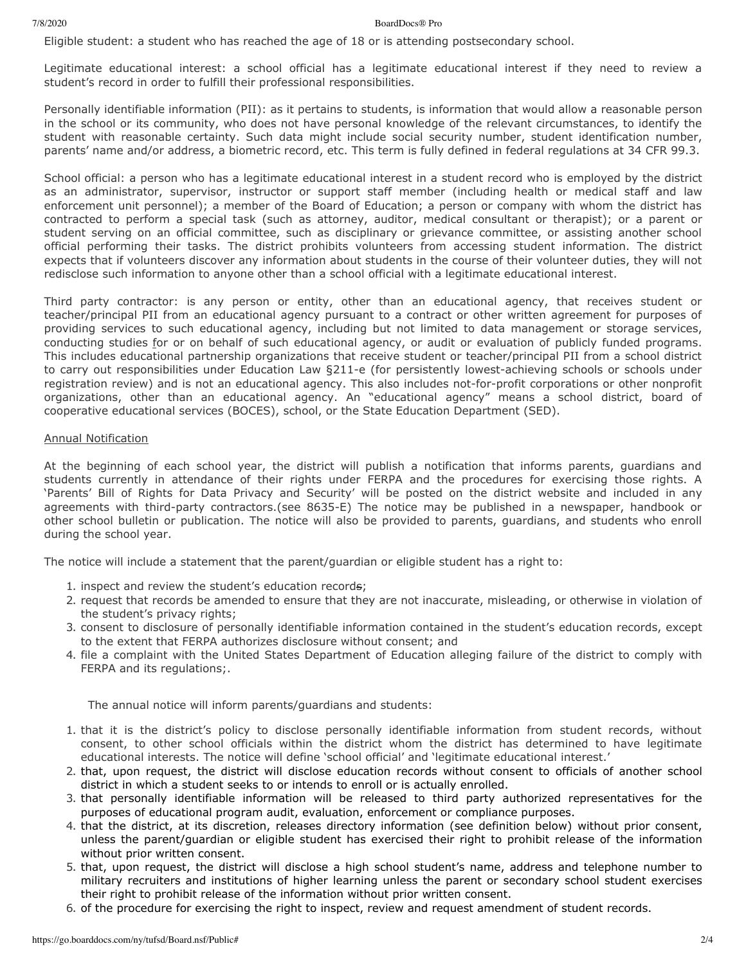#### 7/8/2020 BoardDocs® Pro

Eligible student: a student who has reached the age of 18 or is attending postsecondary school.

Legitimate educational interest: a school official has a legitimate educational interest if they need to review a student's record in order to fulfill their professional responsibilities.

Personally identifiable information (PII): as it pertains to students, is information that would allow a reasonable person in the school or its community, who does not have personal knowledge of the relevant circumstances, to identify the student with reasonable certainty. Such data might include social security number, student identification number, parents' name and/or address, a biometric record, etc. This term is fully defined in federal regulations at 34 CFR 99.3.

School official: a person who has a legitimate educational interest in a student record who is employed by the district as an administrator, supervisor, instructor or support staff member (including health or medical staff and law enforcement unit personnel); a member of the Board of Education; a person or company with whom the district has contracted to perform a special task (such as attorney, auditor, medical consultant or therapist); or a parent or student serving on an official committee, such as disciplinary or grievance committee, or assisting another school official performing their tasks. The district prohibits volunteers from accessing student information. The district expects that if volunteers discover any information about students in the course of their volunteer duties, they will not redisclose such information to anyone other than a school official with a legitimate educational interest.

Third party contractor: is any person or entity, other than an educational agency, that receives student or teacher/principal PII from an educational agency pursuant to a contract or other written agreement for purposes of providing services to such educational agency, including but not limited to data management or storage services, conducting studies for or on behalf of such educational agency, or audit or evaluation of publicly funded programs. This includes educational partnership organizations that receive student or teacher/principal PII from a school district to carry out responsibilities under Education Law §211-e (for persistently lowest-achieving schools or schools under registration review) and is not an educational agency. This also includes not-for-profit corporations or other nonprofit organizations, other than an educational agency. An "educational agency" means a school district, board of cooperative educational services (BOCES), school, or the State Education Department (SED).

## Annual Notification

At the beginning of each school year, the district will publish a notification that informs parents, guardians and students currently in attendance of their rights under FERPA and the procedures for exercising those rights. A 'Parents' Bill of Rights for Data Privacy and Security' will be posted on the district website and included in any agreements with third-party contractors.(see 8635-E) The notice may be published in a newspaper, handbook or other school bulletin or publication. The notice will also be provided to parents, guardians, and students who enroll during the school year.

The notice will include a statement that the parent/guardian or eligible student has a right to:

- 1. inspect and review the student's education records;
- 2. request that records be amended to ensure that they are not inaccurate, misleading, or otherwise in violation of the student's privacy rights;
- 3. consent to disclosure of personally identifiable information contained in the student's education records, except to the extent that FERPA authorizes disclosure without consent; and
- 4. file a complaint with the United States Department of Education alleging failure of the district to comply with FERPA and its regulations;.

The annual notice will inform parents/guardians and students:

- 1. that it is the district's policy to disclose personally identifiable information from student records, without consent, to other school officials within the district whom the district has determined to have legitimate educational interests. The notice will define 'school official' and 'legitimate educational interest.'
- 2. that, upon request, the district will disclose education records without consent to officials of another school district in which a student seeks to or intends to enroll or is actually enrolled.
- 3. that personally identifiable information will be released to third party authorized representatives for the purposes of educational program audit, evaluation, enforcement or compliance purposes.
- 4. that the district, at its discretion, releases directory information (see definition below) without prior consent, unless the parent/guardian or eligible student has exercised their right to prohibit release of the information without prior written consent.
- 5. that, upon request, the district will disclose a high school student's name, address and telephone number to military recruiters and institutions of higher learning unless the parent or secondary school student exercises their right to prohibit release of the information without prior written consent.
- 6. of the procedure for exercising the right to inspect, review and request amendment of student records.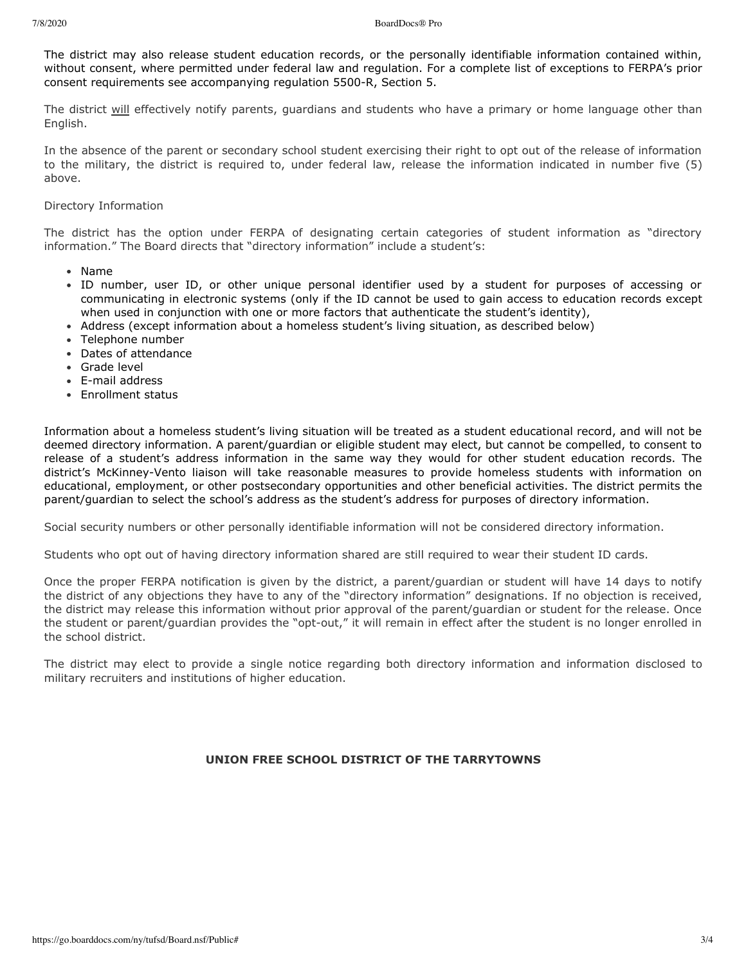The district may also release student education records, or the personally identifiable information contained within, without consent, where permitted under federal law and regulation. For a complete list of exceptions to FERPA's prior consent requirements see accompanying regulation 5500-R, Section 5.

The district will effectively notify parents, guardians and students who have a primary or home language other than English.

In the absence of the parent or secondary school student exercising their right to opt out of the release of information to the military, the district is required to, under federal law, release the information indicated in number five (5) above.

## Directory Information

The district has the option under FERPA of designating certain categories of student information as "directory information." The Board directs that "directory information" include a student's:

- Name
- ID number, user ID, or other unique personal identifier used by a student for purposes of accessing or communicating in electronic systems (only if the ID cannot be used to gain access to education records except when used in conjunction with one or more factors that authenticate the student's identity),
- Address (except information about a homeless student's living situation, as described below)
- Telephone number
- Dates of attendance
- Grade level
- E-mail address
- Enrollment status

Information about a homeless student's living situation will be treated as a student educational record, and will not be deemed directory information. A parent/guardian or eligible student may elect, but cannot be compelled, to consent to release of a student's address information in the same way they would for other student education records. The district's McKinney-Vento liaison will take reasonable measures to provide homeless students with information on educational, employment, or other postsecondary opportunities and other beneficial activities. The district permits the parent/guardian to select the school's address as the student's address for purposes of directory information.

Social security numbers or other personally identifiable information will not be considered directory information.

Students who opt out of having directory information shared are still required to wear their student ID cards.

Once the proper FERPA notification is given by the district, a parent/guardian or student will have 14 days to notify the district of any objections they have to any of the "directory information" designations. If no objection is received, the district may release this information without prior approval of the parent/guardian or student for the release. Once the student or parent/guardian provides the "opt-out," it will remain in effect after the student is no longer enrolled in the school district.

The district may elect to provide a single notice regarding both directory information and information disclosed to military recruiters and institutions of higher education.

# **UNION FREE SCHOOL DISTRICT OF THE TARRYTOWNS**